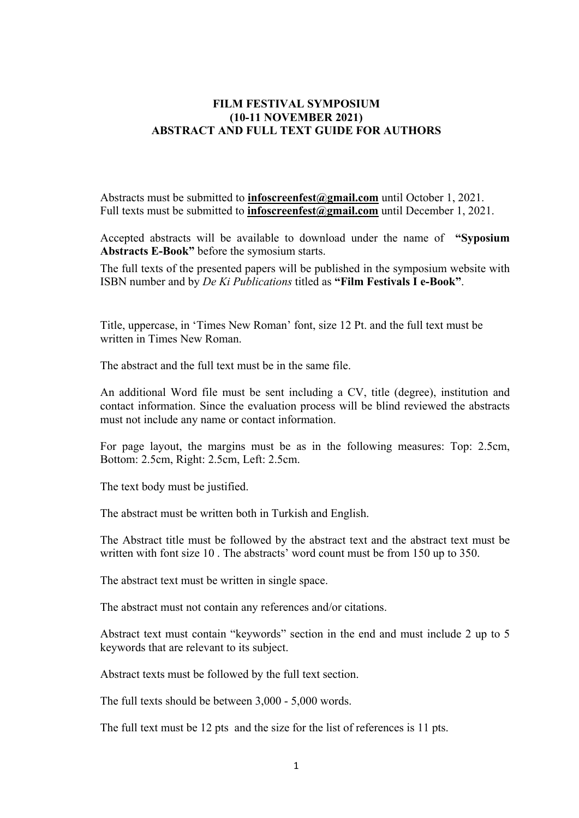## **FILM FESTIVAL SYMPOSIUM (10-11 NOVEMBER 2021) ABSTRACT AND FULL TEXT GUIDE FOR AUTHORS**

Abstracts must be submitted to **[infoscreenfest@gmail.com](mailto:infoscreenfest@gmail.com)** until October 1, 2021. Full texts must be submitted to **[infoscreenfest@gmail.com](mailto:infoscreenfest@gmail.com)** until December 1, 2021.

Accepted abstracts will be available to download under the name of **"Syposium Abstracts E-Book"** before the symosium starts.

The full texts of the presented papers will be published in the symposium website with ISBN number and by *De Ki Publications* titled as **"Film Festivals I e-Book"**.

Title, uppercase, in 'Times New Roman' font, size 12 Pt. and the full text must be written in Times New Roman.

The abstract and the full text must be in the same file.

An additional Word file must be sent including a CV, title (degree), institution and contact information. Since the evaluation process will be blind reviewed the abstracts must not include any name or contact information.

For page layout, the margins must be as in the following measures: Top: 2.5cm, Bottom: 2.5cm, Right: 2.5cm, Left: 2.5cm.

The text body must be justified.

The abstract must be written both in Turkish and English.

The Abstract title must be followed by the abstract text and the abstract text must be written with font size 10 . The abstracts' word count must be from 150 up to 350.

The abstract text must be written in single space.

The abstract must not contain any references and/or citations.

Abstract text must contain "keywords" section in the end and must include 2 up to 5 keywords that are relevant to its subject.

Abstract texts must be followed by the full text section.

The full texts should be between 3,000 - 5,000 words.

The full text must be 12 pts and the size for the list of references is 11 pts.